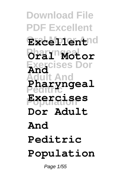**Download File PDF Excellent Oral Motor And Excellent Pharyngeal Oral Motor Exercises Dor And Adult And Peditric Population Exercises Pharyngeal Dor Adult And Peditric Population**

Page 1/55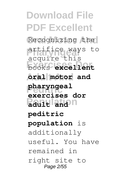**Download File PDF Excellent** Recognizing the artifice ways to **Exercises Dor** books **excellent Adult And oral motor and Peditric pharyngeal Padult and** acquire this **exercises dor peditric population** is additionally useful. You have remained in right site to Page 2/55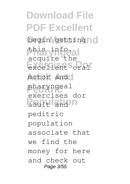**Download File PDF Excellent** begin getting no this info.al **Exercises Dor** excellent oral motor ando **Peditric** pharyngeal **Population** adult and acquire the exercises dor peditric population associate that we find the money for here and check out Page 3/55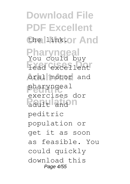**Download File PDF Excellent** the linktor And **Pharyngeal** You could buy **Exercises Dor** lead excellent oral motor and **Peditric** pharyngeal **Population** adult and exercises dor peditric population or get it as soon as feasible. You could quickly download this Page 4/55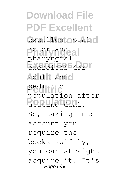**Download File PDF Excellent** excellent oral d **Pharyngeal** motor and exercises dor **Adult And** adult and **Peditric** peditric **Population** getting deal. pharyngeal population after So, taking into account you require the books swiftly, you can straight acquire it. It's Page 5/55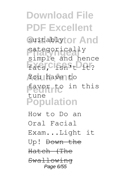**Download File PDF Excellent** suitablytor And categorically Fats, Cisns<sub>t</sub>Dat? You have to **Peditric** favor to in this **Population** simple and hence tune

How to Do an Oral Facial Exam...Light it Up! Down the Hatch (The Swallowing Page 6/55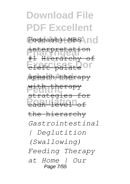**Download File PDF Excellent** Podcast) MBS no interpretation **Exercises Dor** speech therapy **Peditric** with therapy **Population** each level of #1 Hierarchy of strategies for the hierarchy *Gastrointestinal | Deglutition (Swallowing) Feeding Therapy at Home | Our* Page 7/55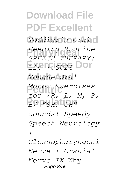**Download File PDF Excellent Oral Motor And** *Toddler's Oral* **Pharyngeal** *Feeding Routine* **Exercises Dor** *Lip \u0026* **Adult And** *Tongue Oral-***Peditric** *Motor Exercises* **Population** *B/ "SH, CH" SPEECH THERAPY: for /R, L, M, P, Sounds! Speedy Speech Neurology | Glossopharyngeal Nerve | Cranial Nerve IX* Why Page 8/55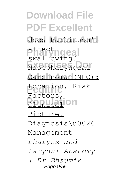**Download File PDF Excellent** does Parkinson's affect<br> **Pharyngeal Exercises Dor** Nasopharyngeal Carcinoma (NPC): **Location, Risk Pointcall** on swallowing? Factors, Picture, Diagnosis\u0026 Management *Pharynx and Larynx| Anatomy | Dr Bhaumik* Page 9/55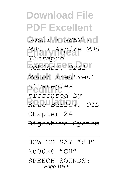**Download File PDF Excellent**  $Joshi$  *| NEET | | 0* **Pharyngeal** *MDS | Aspire MDS* **Exercises Dor** *Webinar: Oral* **Adult And** *Motor Treatment* **Peditric** *Strategies* **Population** *Kate Barlow, OTD Therapro presented by* Chapter 24 Digestive System

HOW TO SAY "SH" \u0026 "CH" SPEECH SOUNDS: Page 10/55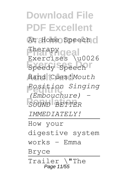**Download File PDF Excellent** At Home Speech o **Pharyngeal** Exercises \u0026 Encreases (2001) **Adult And** Hand Cues!*Mouth* **Peditric** *Position Singing* **Population** *SOUND BETTER* Therapy *(Embouchure) - IMMEDIATELY!* How your digestive system  $works$  - Emma Bryce Trailer \"The Page 11/55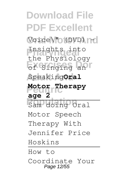**Download File PDF Excellent** Voice\" (DVD) I-d **Pharyngeal** Insights into **Exercises Dor** of Singing an **Adult And** Speaking**Oral Peditric Motor Therapy** Sam doing Oral the Physiology **age 2** Motor Speech Therapy With Jennifer Price Hoskins How to Coordinate Your Page 12/55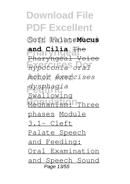**Download File PDF Excellent** Soft Palate**Mucus Pharyngeal and Cilia** The **Exercises Dor** *Hypotonia oral* **Adult And** *motor exercises* **Peditric** *dysphagia* **Population** Mechanism: Three Pharyngeal Voice Swallowing phases Module  $3.1 -$  Cleft Palate Speech and Feeding: Oral Examination and Speech Sound Page 13/55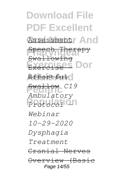**Download File PDF Excellent** Assessment<sup>r</sup> And **Speech Therapy Exercises Dor Affortfuld Peditric** Swallow *C19* Protocol<sup>1</sup> Swallowing Exerci *Ambulatory Webinar 10-29-2020 Dysphagia Treatment* Cranial Nerv Overview (Basi Page 14/55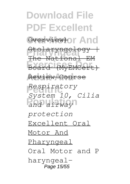**Download File PDF Excellent** Overview) And **Pharyngology Exercises Dor** Board (MyEMCert) **Adult And** Review Course **Peditric** *Respiratory* **Population** *and airway* The National EM *System 10, Cilia protection* Excellent Oral Motor And Pharyngeal Oral Motor and P haryngeal-Page 15/55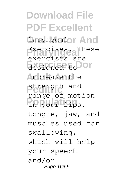**Download File PDF Excellent** Daryngealor And **Exercises.** These **Exercises Dor** designed to increase the strength and **Population** in your lips, exercises are range of motion tongue, jaw, and muscles used for swallowing, which will help your speech and/or Page 16/55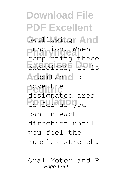**Download File PDF Excellent** swallowing And function. When **Exercises**, **i**elis important to move the<br>designated area **Population** as far as you completing these move the can in each direction until you feel the muscles stretch.

Oral Motor and P Page 17/55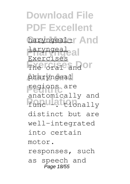**Download File PDF Excellent** haryngealer And **Pharyngeal** laryngeal The Graf<sup>e</sup> and or pharyngeal **Peditric** regions are Funculat<sub>tionally</sub> Exercises anatomically and distinct but are well-integrated into certain motor. responses, such as speech and Page 18/55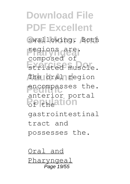**Download File PDF Excellent** swallowing. Both regions are. **Exercises Dor** striated muscle. The oral region encompasses the. **Population** composed of anterior portal gastrointestinal tract and possesses the. Oral and

Pharyngeal Page 19/55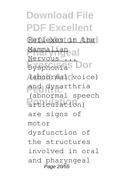**Download File PDF Excellent** Reflexes in the Mammalian<br>Manusia **Exercise 18:** Dor (abnormal voice) and dysarthria **Population** articulation) Nervous (abnormal speech are signs of motor dysfunction of the structures involved in oral and pharyngeal Page 20/55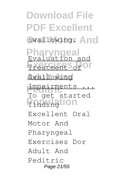**Download File PDF Excellent** swallowing. And **Pharyngeal** Evaluation and **Exercises Dor Swallowing Peditric** Impairments ... **Pindingtion** To get started Excellent Oral Motor And Pharyngeal Exercises Dor Adult And Peditric Page 21/55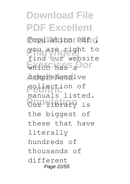**Download File PDF Excellent** Population Pdf ( **Pharyngeal** you are right to which has a<sup>Dor</sup> comprehensive **Peditric** collection of **Population** Our library is find our website manuals listed. the biggest of these that have literally hundreds of thousands of different Page 22/55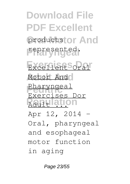**Download File PDF Excellent** productstor And **Pharyngeal** represented. **Exercises Dor** Excellent Oral Motor Ando Pharyngeal *<u>Adult ation</u>* Exercises Dor Apr 12, 2014 - Oral, pharyngeal and esophageal motor function in aging

Page 23/55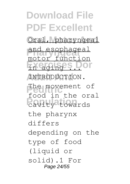**Download File PDF Excellent** Oral, pharyngeal and esophageal Exercises Dor **INTRODUCTION.** The movement of **Power of the Cavity** towards motor function food in the oral the pharynx differs depending on the type of food (liquid or solid).1 For Page 24/55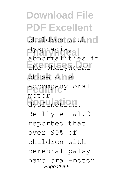**Download File PDF Excellent** children with no dysphagia, **Exercises Dor** the pharyngeal phase often accompany oral-**Population** dysfunction. abnormalities in motor Reilly et al.2 reported that over 90% of children with cerebral palsy have oral-motor Page 25/55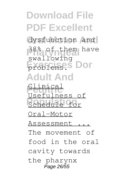## **Download File PDF Excellent Oral Motor And** dysfunction and **Pharyngeal** 38% of them have **Problems**: Dor **Adult And Peditric** Clinical Schedule for swallowing Usefulness of Oral-Motor Assessment ... The movement of food in the oral cavity towards the pharynx Page 26/55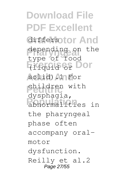**Download File PDF Excellent** differsotor And depending on the **Exercises Dor** (liquid or **Adult And** solid).1 For **Peditric** children with **Population** abnormalities in type of food dysphagia, the pharyngeal phase often accompany oralmotor dysfunction. Reilly et al.2 Page 27/55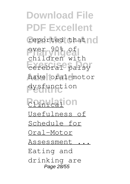**Download File PDF Excellent** reported that no over 90% of **Exercise Doring Doring Doring Discovers** have oral-motor **Peditric** dysfunction **Ponication** children with Usefulness of Schedule for Oral-Motor Assessment ... Eating and drinking are Page 28/55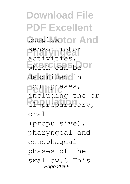**Download File PDF Excellent Complexitor And** sensorimotor<br>activities, which can be or described in four phases, al-preparatory, sensorimotor including the or oral (propulsive), pharyngeal and oesophageal phases of the swallow.6 This Page 29/55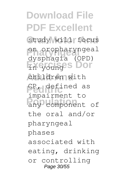**Download File PDF Excellent** study will focus **Pharyngeal** on oropharyngeal **Exercises Dor** in young children with **Pedificial** as any component of dysphagia (OPD) impairment to the oral and/or pharyngeal phases associated with eating, drinking or controlling Page 30/55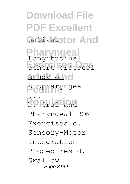**Download File PDF Excellent** Saliva.otor And **Pharyngeal Exercises Dor** cohort protocol study of o **Peditric** oropharyngeal **Policia**nd Longitudina ... b. Oral and Pharyngeal ROM Exercises c. Sensory-Motor Integration Procedures d. Swallow Page 31/55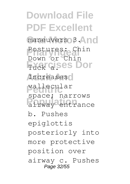**Download File PDF Excellent** maneuvers 3.And Postures: Chin **Exercises Dor** Increases<sup>o</sup> **Peditric** vallecular **Population** airway entrance Down or Chin space; narrows b. Pushes epiglottis posteriorly into more protective position over airway c. Pushes Page 32/55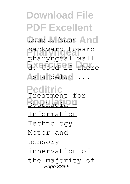**Download File PDF Excellent** tongue base And **Pharyngeal** backward toward **Examples** Contracts **Adult And** is a delay ... **Peditric Pysphagia** pharyngeal wall Treatment for

Information

Technology

Motor and

sensory

innervation of

the majority of Page 33/55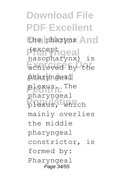**Download File PDF Excellent** the pharynx And **Pharyngeal** (except **Exercises Dor** achieved by the pharyngeal plexus. The plexus, which nasopharynx) is pharyngeal mainly overlies the middle pharyngeal constrictor, is formed by: Pharyngeal Page 34/55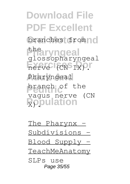**Download File PDF Excellent** branches from 0 *<u>Pharyngeal</u>* **Exercise of Principles** Pharyngeal **branch** of the **R**opulation glossopharyngeal vagus nerve (CN

The Pharynx - Subdivisions - Blood Supply - TeachMeAnatomy SLPs use Page 35/55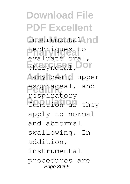**Download File PDF Excellent** instrumental no techniques to **Exercises Dor** pharyngeal, **Adult And** laryngeal, upper esophageal, and **Population** function as they evaluate oral, respiratory apply to normal and abnormal swallowing. In addition, instrumental procedures are Page 36/55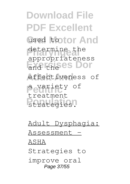**Download File PDF Excellent** used totor And determine the and the es Dor effectiveness of **Peditric** a variety of **Population** strategies. appropriateness treatment

Adult Dysphagia: Assessment - ASHA Strategies to improve oral Page 37/55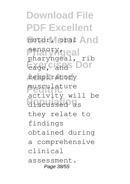**Download File PDF Excellent** motor, oral And sensory<sub>gea</sub> **Exercises** Dor respiratory musculature<br>activity will be **Population** discussed as pharyngeal, rib musculature they relate to findings obtained during a comprehensive clinical assessment. Page 38/55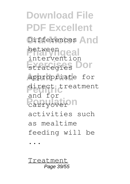**Download File PDF Excellent** Differences And between geal **Exercises Dor** strategies **Adult And** appropriate for direct treatment **Portyover** intervention and for activities such as mealtime feeding will be ...

Treatment Page 39/55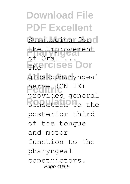**Download File PDF Excellent** Strategies for d the Improvement **Exercises Dor Adult And** glossopharyngeal **Peditric** nerve (CN IX) **Professor** general of Oral ... provides general posterior third of the tongue and motor function to the pharyngeal constrictors. Page 40/55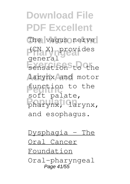**Download File PDF Excellent** The vagus nerve **Pharyngeal** (CN X) provides sensation<sup>Sto</sup> the **Adult And** larynx and motor **Peditric** function to the pharynx, **Qarynx**, general soft palate, and esophagus.

Dysphagia – The Oral Cancer Foundation Oral-pharyngeal Page 41/55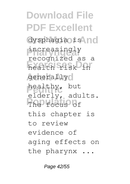**Download File PDF Excellent** dysphagia is **And** increasingly **Exercises** generally<sub>o</sub> healthy, but The focus of recognized as a elderly, adults. this chapter is to review evidence of aging effects on the pharynx ...

Page 42/55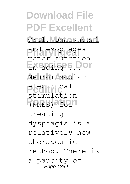**Download File PDF Excellent** Oral, pharyngeal and esophageal Exercises Dor **Adult And** Neuromuscular **Peditric** stimulation (NMES)<sup>3</sup>for motor function electrical treating dysphagia is a relatively new therapeutic method. There is a paucity of Page 43/55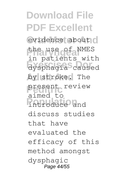**Download File PDF Excellent** evidence about d the use of NMES **Exercises Dor** dysphagia caused by stroke. The present review **Population** introduce and in patients with aimed to discuss studies that have evaluated the efficacy of this method amongst dysphagic Page 44/55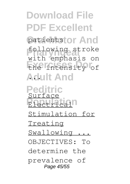**Download File PDF Excellent** patientstor And following stroke **Exercises Dor** the intensity of **Adult And** ... with emphasis on

**Peditric Electrical** Surface Stimulation for Treating Swallowing ... OBJECTIVES: To determine the prevalence of Page 45/55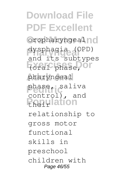**Download File PDF Excellent** Oropharyngealno **Pharyngeal** dysphagia (OPD) **Exercises** pharyngeal phase, saliva **Population** and its subtypes control), and relationship to gross motor functional skills in preschool children with Page 46/55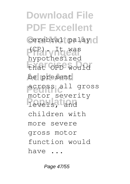**Download File PDF Excellent** cerebral palsy o **Pharyngeal** (CP). It was **Exercises Dor** that OPD would **Adult And** be present **Peditric** across all gross **Population** levels, and hypothesized motor severity children with more severe gross motor function would have ...

Page 47/55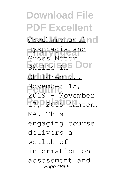**Download File PDF Excellent** Oropharyngealno **Pysphagia and Exercises** Dor Children ... November 15, **Population** Gross Motor 2019 - November MA. This engaging course delivers a wealth of information on assessment and Page 48/55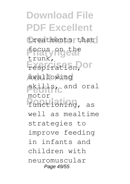**Download File PDF Excellent** treatments that **Pharyngeal** focus on the respiration, Or swallowing **Peditic** and oral **Population** functioning, as trunk, motor well as mealtime strategies to improve feeding in infants and children with neuromuscular Page 49/55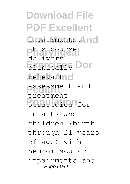**Download File PDF Excellent** impairments. And This course **Exercises** Dor relevant<sub>10</sub> **Peditric** assessment and **Population** strategies for delivers treatment infants and children (birth through 21 years of age) with neuromuscular impairments and Page 50/55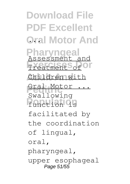**Download File PDF Excellent Oral Motor And** ... **Pharyngeal Exercises Increased Or** Children with <u>Oral Motor</u><br>Swallowing **Function** 9s Assessment and Oral Motor ... facilitated by the coordination of lingual, oral, pharyngeal, upper esophageal Page 51/55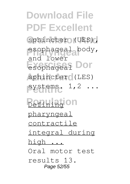**Download File PDF Excellent** sphincter (UES), esophageal body, **Exercises Dor** esophageal sphincter (LES) **Peditric** systems. 1,2 ... **Befining** on and lower pharyngeal contractile integral during high ... Oral motor test results 13. Page 52/55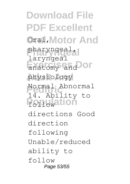**Download File PDF Excellent** Oral, Motor And **Pharyngeal** pharyngeal, anatomy and **Or** physiology **Peditric** Normal Abnormal **Population** laryngeal 14. Ability to directions Good direction following Unable/reduced ability to follow Page 53/55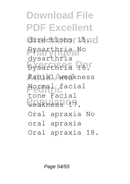**Download File PDF Excellent** directions 15.00 **Pysarthria** No **Exercises Dor** Dysarthria 16. Facial weakness **Peditric** Normal facial **Weakness** 97. dysarthria tone Facial Oral apraxia No oral apraxia Oral apraxia 18.

Page 54/55